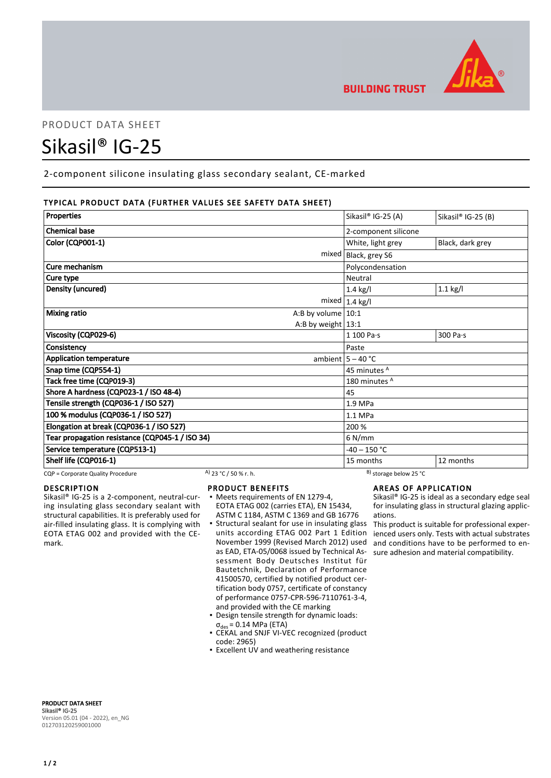

# PRODUCT DATA SHEET

# Sikasil® IG-25

2-component silicone insulating glass secondary sealant, CE-marked

# TYPICAL PRODUCT DATA (FURTHER VALUES SEE SAFETY DATA SHEET)

| Properties                                      | Sikasil® IG-25 (A)      | Sikasil® IG-25 (B) |
|-------------------------------------------------|-------------------------|--------------------|
|                                                 |                         |                    |
| <b>Chemical base</b>                            | 2-component silicone    |                    |
| <b>Color (CQP001-1)</b>                         | White, light grey       | Black, dark grey   |
| mixed                                           | Black, grey S6          |                    |
| Cure mechanism                                  | Polycondensation        |                    |
| Cure type                                       | Neutral                 |                    |
| Density (uncured)                               | $1.4$ kg/l              | $1.1$ kg/l         |
|                                                 | mixed $1.4$ kg/l        |                    |
| <b>Mixing ratio</b><br>A:B by volume $ 10:1$    |                         |                    |
| A:B by weight $13:1$                            |                         |                    |
| Viscosity (CQP029-6)                            | 1 100 Pa·s              | 300 Pa·s           |
| Consistency                                     | Paste                   |                    |
| <b>Application temperature</b>                  | ambient $5 - 40$ °C     |                    |
| Snap time (CQP554-1)                            | 45 minutes <sup>A</sup> |                    |
| Tack free time (CQP019-3)                       | 180 minutes A           |                    |
| Shore A hardness (CQP023-1 / ISO 48-4)          | 45                      |                    |
| Tensile strength (CQP036-1 / ISO 527)           | 1.9 MPa                 |                    |
| 100 % modulus (CQP036-1 / ISO 527)              | 1.1 MPa                 |                    |
| Elongation at break (CQP036-1 / ISO 527)        | 200 %                   |                    |
| Tear propagation resistance (CQP045-1 / ISO 34) | $6$ N/mm                |                    |
| Service temperature (CQP513-1)                  | $-40 - 150$ °C          |                    |
| Shelf life (CQP016-1)                           | 15 months               | 12 months          |

CQP = Corporate Quality Procedure A) 23 °C / 50 % r. h. B) storage below 25 °C

# DESCRIPTION

Sikasil® IG-25 is a 2-component, neutral-curing insulating glass secondary sealant with structural capabilities. It is preferably used for air-filled insulating glass. It is complying with EOTA ETAG 002 and provided with the CEmark.

#### PRODUCT BENEFITS

- Meets requirements of EN 1279-4, EOTA ETAG 002 (carries ETA), EN 15434, ASTM C 1184, ASTM C 1369 and GB 16776
- **Structural sealant for use in insulating glass** units according ETAG 002 Part 1 Edition November 1999 (Revised March 2012) used as EAD, ETA-05/0068 issued by Technical Assessment Body Deutsches Institut für Bautetchnik, Declaration of Performance 41500570, certified by notified product certification body 0757, certificate of constancy of performance 0757-CPR-596-7110761-3-4, and provided with the CE marking
- Design tensile strength for dynamic loads:  $\sigma_{des}$  = 0.14 MPa (ETA)
- CEKAL and SNJF VI-VEC recognized (product code: 2965)
- **Excellent UV and weathering resistance**

# AREAS OF APPLICATION

Sikasil® IG-25 is ideal as a secondary edge seal for insulating glass in structural glazing applications.

This product is suitable for professional experienced users only. Tests with actual substrates and conditions have to be performed to ensure adhesion and material compatibility.

PRODUCT DATA SHEET Sikasil® IG-25 Version 05.01 (04 - 2022), en\_NG 012703120259001000